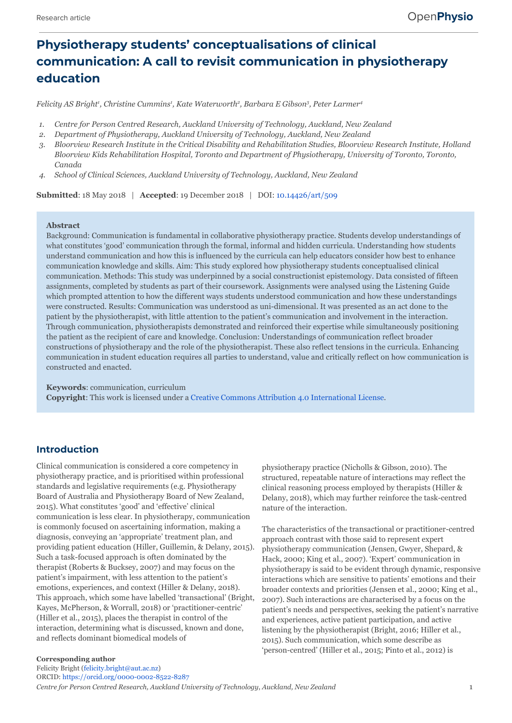# **Physiotherapy students' conceptualisations of clinical communication: A call to revisit communication in physiotherapy education**

*Felicity AS Bright<sup>1</sup> , Christine Cummins<sup>1</sup> , Kate Waterworth<sup>2</sup> , Barbara E Gibson<sup>3</sup> , Peter Larmer<sup>4</sup>*

- *1. Centre for Person Centred Research, Auckland University of Technology, Auckland, New Zealand*
- *2. Department of Physiotherapy, Auckland University of Technology, Auckland, New Zealand*
- *3. Bloorview Research Institute in the Critical Disability and Rehabilitation Studies, Bloorview Research Institute, Holland Bloorview Kids Rehabilitation Hospital, Toronto and Department of Physiotherapy, University of Toronto, Toronto, Canada*
- *4. School of Clinical Sciences, Auckland University of Technology, Auckland, New Zealand*

**Submitted**: 18 May 2018 | **Accepted**: 19 December 2018 | DOI: [10.14426/art/509](http://doi.org/10.14426/art/509)

#### **Abstract**

Background: Communication is fundamental in collaborative physiotherapy practice. Students develop understandings of what constitutes 'good' communication through the formal, informal and hidden curricula. Understanding how students understand communication and how this is influenced by the curricula can help educators consider how best to enhance communication knowledge and skills. Aim: This study explored how physiotherapy students conceptualised clinical communication. Methods: This study was underpinned by a social constructionist epistemology. Data consisted of fifteen assignments, completed by students as part of their coursework. Assignments were analysed using the Listening Guide which prompted attention to how the different ways students understood communication and how these understandings were constructed. Results: Communication was understood as uni-dimensional. It was presented as an act done to the patient by the physiotherapist, with little attention to the patient's communication and involvement in the interaction. Through communication, physiotherapists demonstrated and reinforced their expertise while simultaneously positioning the patient as the recipient of care and knowledge. Conclusion: Understandings of communication reflect broader constructions of physiotherapy and the role of the physiotherapist. These also reflect tensions in the curricula. Enhancing communication in student education requires all parties to understand, value and critically reflect on how communication is constructed and enacted.

**Keywords**: communication, curriculum **Copyright**: This work is licensed under a Creative [Commons Attribution 4.0 International License](https://creativecommons.org/licenses/by/4.0/).

# **Introduction**

Clinical communication is considered a core competency in physiotherapy practice, and is prioritised within professional standards and legislative requirements (e.g. Physiotherapy Board of Australia and Physiotherapy Board of New Zealand, 2015). What constitutes 'good' and 'effective' clinical communication is less clear. In physiotherapy, communication is commonly focused on ascertaining information, making a diagnosis, conveying an 'appropriate' treatment plan, and providing patient education (Hiller, Guillemin, & Delany, 2015). Such a task-focused approach is often dominated by the therapist (Roberts & Bucksey, 2007) and may focus on the patient's impairment, with less attention to the patient's emotions, experiences, and context (Hiller & Delany, 2018). This approach, which some have labelled 'transactional' (Bright, Kayes, McPherson, & Worrall, 2018) or 'practitioner-centric' (Hiller et al., 2015), places the therapist in control of the interaction, determining what is discussed, known and done, and reflects dominant biomedical models of

physiotherapy practice (Nicholls & Gibson, 2010). The structured, repeatable nature of interactions may reflect the clinical reasoning process employed by therapists (Hiller & Delany, 2018), which may further reinforce the task-centred nature of the interaction.

The characteristics of the transactional or practitioner-centred approach contrast with those said to represent expert physiotherapy communication (Jensen, Gwyer, Shepard, & Hack, 2000; King et al., 2007). 'Expert' communication in physiotherapy is said to be evident through dynamic, responsive interactions which are sensitive to patients' emotions and their broader contexts and priorities (Jensen et al., 2000; King et al., 2007). Such interactions are characterised by a focus on the patient's needs and perspectives, seeking the patient's narrative and experiences, active patient participation, and active listening by the physiotherapist (Bright, 2016; Hiller et al., 2015). Such communication, which some describe as 'person-centred' (Hiller et al., 2015; Pinto et al., 2012) is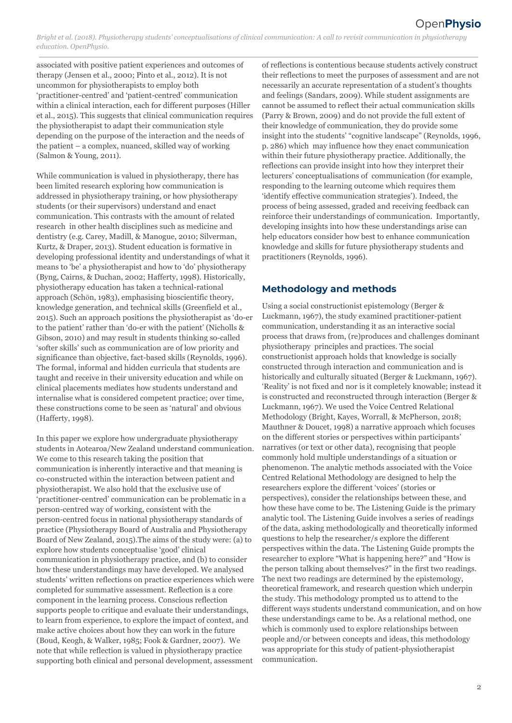associated with positive patient experiences and outcomes of therapy (Jensen et al., 2000; Pinto et al., 2012). It is not uncommon for physiotherapists to employ both 'practitioner-centred' and 'patient-centred' communication within a clinical interaction, each for different purposes (Hiller et al., 2015). This suggests that clinical communication requires the physiotherapist to adapt their communication style depending on the purpose of the interaction and the needs of the patient – a complex, nuanced, skilled way of working (Salmon & Young, 2011).

While communication is valued in physiotherapy, there has been limited research exploring how communication is addressed in physiotherapy training, or how physiotherapy students (or their supervisors) understand and enact communication. This contrasts with the amount of related research in other health disciplines such as medicine and dentistry (e.g. Carey, Madill, & Manogue, 2010; Silverman, Kurtz, & Draper, 2013). Student education is formative in developing professional identity and understandings of what it means to 'be' a physiotherapist and how to 'do' physiotherapy (Byng, Cairns, & Duchan, 2002; Hafferty, 1998). Historically, physiotherapy education has taken a technical-rational approach (Schӧn, 1983), emphasising bioscientific theory, knowledge generation, and technical skills (Greenfield et al., 2015). Such an approach positions the physiotherapist as 'do-er to the patient' rather than 'do-er with the patient' (Nicholls & Gibson, 2010) and may result in students thinking so-called 'softer skills' such as communication are of low priority and significance than objective, fact-based skills (Reynolds, 1996). The formal, informal and hidden curricula that students are taught and receive in their university education and while on clinical placements mediates how students understand and internalise what is considered competent practice; over time, these constructions come to be seen as 'natural' and obvious (Hafferty, 1998).

In this paper we explore how undergraduate physiotherapy students in Aotearoa/New Zealand understand communication. We come to this research taking the position that communication is inherently interactive and that meaning is co-constructed within the interaction between patient and physiotherapist. We also hold that the exclusive use of 'practitioner-centred' communication can be problematic in a person-centred way of working, consistent with the person-centred focus in national physiotherapy standards of practice (Physiotherapy Board of Australia and Physiotherapy Board of New Zealand, 2015).The aims of the study were: (a) to explore how students conceptualise 'good' clinical communication in physiotherapy practice, and (b) to consider how these understandings may have developed. We analysed students' written reflections on practice experiences which were completed for summative assessment. Reflection is a core component in the learning process. Conscious reflection supports people to critique and evaluate their understandings, to learn from experience, to explore the impact of context, and make active choices about how they can work in the future (Boud, Keogh, & Walker, 1985; Fook & Gardner, 2007). We note that while reflection is valued in physiotherapy practice supporting both clinical and personal development, assessment

of reflections is contentious because students actively construct their reflections to meet the purposes of assessment and are not necessarily an accurate representation of a student's thoughts and feelings (Sandars, 2009). While student assignments are cannot be assumed to reflect their actual communication skills (Parry & Brown, 2009) and do not provide the full extent of their knowledge of communication, they do provide some insight into the students' "cognitive landscape" (Reynolds, 1996, p. 286) which may influence how they enact communication within their future physiotherapy practice. Additionally, the reflections can provide insight into how they interpret their lecturers' conceptualisations of communication (for example, responding to the learning outcome which requires them 'identify effective communication strategies'). Indeed, the process of being assessed, graded and receiving feedback can reinforce their understandings of communication. Importantly, developing insights into how these understandings arise can help educators consider how best to enhance communication knowledge and skills for future physiotherapy students and practitioners (Reynolds, 1996).

## **Methodology and methods**

Using a social constructionist epistemology (Berger & Luckmann, 1967), the study examined practitioner-patient communication, understanding it as an interactive social process that draws from, (re)produces and challenges dominant physiotherapy principles and practices. The social constructionist approach holds that knowledge is socially constructed through interaction and communication and is historically and culturally situated (Berger & Luckmann, 1967). 'Reality' is not fixed and nor is it completely knowable; instead it is constructed and reconstructed through interaction (Berger & Luckmann, 1967). We used the Voice Centred Relational Methodology (Bright, Kayes, Worrall, & McPherson, 2018; Mauthner & Doucet, 1998) a narrative approach which focuses on the different stories or perspectives within participants' narratives (or text or other data), recognising that people commonly hold multiple understandings of a situation or phenomenon. The analytic methods associated with the Voice Centred Relational Methodology are designed to help the researchers explore the different 'voices' (stories or perspectives), consider the relationships between these, and how these have come to be. The Listening Guide is the primary analytic tool. The Listening Guide involves a series of readings of the data, asking methodologically and theoretically informed questions to help the researcher/s explore the different perspectives within the data. The Listening Guide prompts the researcher to explore "What is happening here?" and "How is the person talking about themselves?" in the first two readings. The next two readings are determined by the epistemology, theoretical framework, and research question which underpin the study. This methodology prompted us to attend to the different ways students understand communication, and on how these understandings came to be. As a relational method, one which is commonly used to explore relationships between people and/or between concepts and ideas, this methodology was appropriate for this study of patient-physiotherapist communication.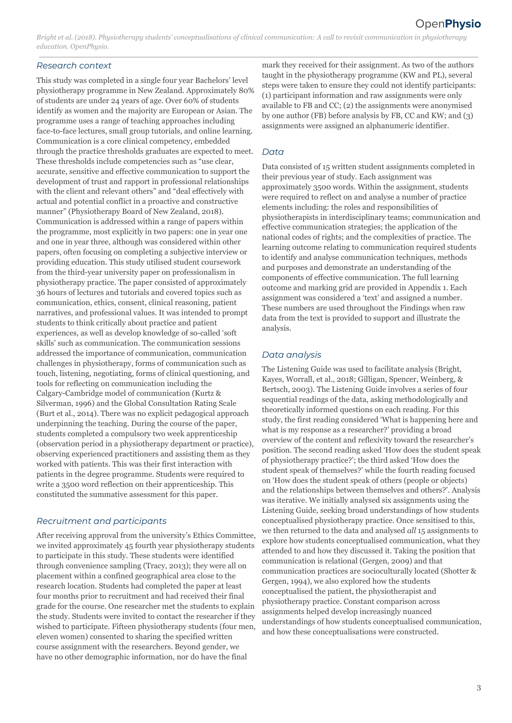#### *Research context*

This study was completed in a single four year Bachelors' level physiotherapy programme in New Zealand. Approximately 80% of students are under 24 years of age. Over 60% of students identify as women and the majority are European or Asian. The programme uses a range of teaching approaches including face-to-face lectures, small group tutorials, and online learning. Communication is a core clinical competency, embedded through the practice thresholds graduates are expected to meet. These thresholds include competencies such as "use clear, accurate, sensitive and effective communication to support the development of trust and rapport in professional relationships with the client and relevant others" and "deal effectively with actual and potential conflict in a proactive and constructive manner" (Physiotherapy Board of New Zealand, 2018). Communication is addressed within a range of papers within the programme, most explicitly in two papers: one in year one and one in year three, although was considered within other papers, often focusing on completing a subjective interview or providing education. This study utilised student coursework from the third-year university paper on professionalism in physiotherapy practice. The paper consisted of approximately 36 hours of lectures and tutorials and covered topics such as communication, ethics, consent, clinical reasoning, patient narratives, and professional values. It was intended to prompt students to think critically about practice and patient experiences, as well as develop knowledge of so-called 'soft skills' such as communication. The communication sessions addressed the importance of communication, communication challenges in physiotherapy, forms of communication such as touch, listening, negotiating, forms of clinical questioning, and tools for reflecting on communication including the Calgary-Cambridge model of communication (Kurtz & Silverman, 1996) and the Global Consultation Rating Scale (Burt et al., 2014). There was no explicit pedagogical approach underpinning the teaching. During the course of the paper, students completed a compulsory two week apprenticeship (observation period in a physiotherapy department or practice), observing experienced practitioners and assisting them as they worked with patients. This was their first interaction with patients in the degree programme. Students were required to write a 3500 word reflection on their apprenticeship. This constituted the summative assessment for this paper.

## *Recruitment and participants*

After receiving approval from the university's Ethics Committee, we invited approximately 45 fourth year physiotherapy students to participate in this study. These students were identified through convenience sampling (Tracy, 2013); they were all on placement within a confined geographical area close to the research location. Students had completed the paper at least four months prior to recruitment and had received their final grade for the course. One researcher met the students to explain the study. Students were invited to contact the researcher if they wished to participate. Fifteen physiotherapy students (four men, eleven women) consented to sharing the specified written course assignment with the researchers. Beyond gender, we have no other demographic information, nor do have the final

mark they received for their assignment. As two of the authors taught in the physiotherapy programme (KW and PL), several steps were taken to ensure they could not identify participants: (1) participant information and raw assignments were only available to FB and CC; (2) the assignments were anonymised by one author (FB) before analysis by FB, CC and KW; and (3) assignments were assigned an alphanumeric identifier.

#### *Data*

Data consisted of 15 written student assignments completed in their previous year of study. Each assignment was approximately 3500 words. Within the assignment, students were required to reflect on and analyse a number of practice elements including: the roles and responsibilities of physiotherapists in interdisciplinary teams; communication and effective communication strategies; the application of the national codes of rights; and the complexities of practice. The learning outcome relating to communication required students to identify and analyse communication techniques, methods and purposes and demonstrate an understanding of the components of effective communication. The full learning outcome and marking grid are provided in Appendix 1. Each assignment was considered a 'text' and assigned a number. These numbers are used throughout the Findings when raw data from the text is provided to support and illustrate the analysis.

## *Data analysis*

The Listening Guide was used to facilitate analysis (Bright, Kayes, Worrall, et al., 2018; Gilligan, Spencer, Weinberg, & Bertsch, 2003). The Listening Guide involves a series of four sequential readings of the data, asking methodologically and theoretically informed questions on each reading. For this study, the first reading considered 'What is happening here and what is my response as a researcher?' providing a broad overview of the content and reflexivity toward the researcher's position. The second reading asked 'How does the student speak of physiotherapy practice?'; the third asked 'How does the student speak of themselves?' while the fourth reading focused on 'How does the student speak of others (people or objects) and the relationships between themselves and others?'. Analysis was iterative. We initially analysed six assignments using the Listening Guide, seeking broad understandings of how students conceptualised physiotherapy practice. Once sensitised to this, we then returned to the data and analysed *all* 15 assignments to explore how students conceptualised communication, what they attended to and how they discussed it. Taking the position that communication is relational (Gergen, 2009) and that communication practices are socioculturally located (Shotter & Gergen, 1994), we also explored how the students conceptualised the patient, the physiotherapist and physiotherapy practice. Constant comparison across assignments helped develop increasingly nuanced understandings of how students conceptualised communication, and how these conceptualisations were constructed.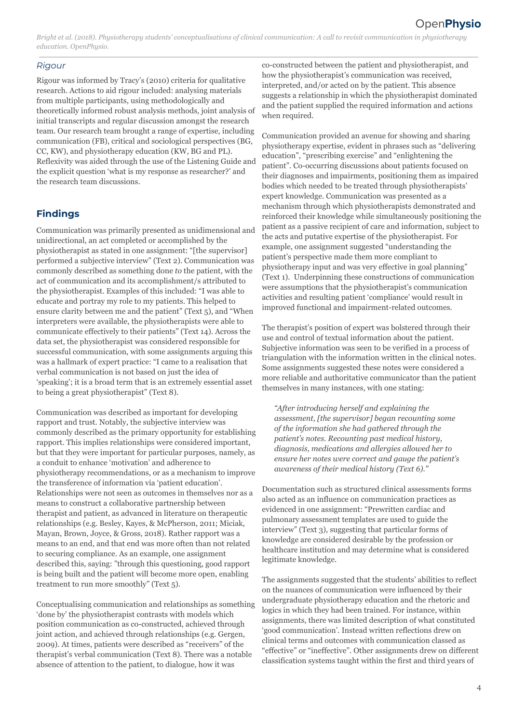#### *Rigour*

Rigour was informed by Tracy's (2010) criteria for qualitative research. Actions to aid rigour included: analysing materials from multiple participants, using methodologically and theoretically informed robust analysis methods, joint analysis of initial transcripts and regular discussion amongst the research team. Our research team brought a range of expertise, including communication (FB), critical and sociological perspectives (BG, CC, KW), and physiotherapy education (KW, BG and PL). Reflexivity was aided through the use of the Listening Guide and the explicit question 'what is my response as researcher?' and the research team discussions.

# **Findings**

Communication was primarily presented as unidimensional and unidirectional, an act completed or accomplished by the physiotherapist as stated in one assignment: "[the supervisor] performed a subjective interview" (Text 2). Communication was commonly described as something done *to* the patient, with the act of communication and its accomplishment/s attributed to the physiotherapist. Examples of this included: "I was able to educate and portray my role to my patients. This helped to ensure clarity between me and the patient" (Text 5), and "When interpreters were available, the physiotherapists were able to communicate effectively to their patients" (Text 14). Across the data set, the physiotherapist was considered responsible for successful communication, with some assignments arguing this was a hallmark of expert practice: "I came to a realisation that verbal communication is not based on just the idea of 'speaking'; it is a broad term that is an extremely essential asset to being a great physiotherapist" (Text 8).

Communication was described as important for developing rapport and trust. Notably, the subjective interview was commonly described as the primary opportunity for establishing rapport. This implies relationships were considered important, but that they were important for particular purposes, namely, as a conduit to enhance 'motivation' and adherence to physiotherapy recommendations, or as a mechanism to improve the transference of information via 'patient education'. Relationships were not seen as outcomes in themselves nor as a means to construct a collaborative partnership between therapist and patient, as advanced in literature on therapeutic relationships (e.g. Besley, Kayes, & McPherson, 2011; Miciak, Mayan, Brown, Joyce, & Gross, 2018). Rather rapport was a means to an end, and that end was more often than not related to securing compliance. As an example, one assignment described this, saying: "through this questioning, good rapport is being built and the patient will become more open, enabling treatment to run more smoothly" (Text 5).

Conceptualising communication and relationships as something 'done by' the physiotherapist contrasts with models which position communication as co-constructed, achieved through joint action, and achieved through relationships (e.g. Gergen, 2009). At times, patients were described as "receivers" of the therapist's verbal communication (Text 8). There was a notable absence of attention to the patient, to dialogue, how it was

co-constructed between the patient and physiotherapist, and how the physiotherapist's communication was received, interpreted, and/or acted on by the patient. This absence suggests a relationship in which the physiotherapist dominated and the patient supplied the required information and actions when required.

Communication provided an avenue for showing and sharing physiotherapy expertise, evident in phrases such as "delivering education", "prescribing exercise" and "enlightening the patient". Co-occurring discussions about patients focused on their diagnoses and impairments, positioning them as impaired bodies which needed to be treated through physiotherapists' expert knowledge. Communication was presented as a mechanism through which physiotherapists demonstrated and reinforced their knowledge while simultaneously positioning the patient as a passive recipient of care and information, subject to the acts and putative expertise of the physiotherapist. For example, one assignment suggested "understanding the patient's perspective made them more compliant to physiotherapy input and was very effective in goal planning" (Text 1). Underpinning these constructions of communication were assumptions that the physiotherapist's communication activities and resulting patient 'compliance' would result in improved functional and impairment-related outcomes.

The therapist's position of expert was bolstered through their use and control of textual information about the patient. Subjective information was seen to be verified in a process of triangulation with the information written in the clinical notes. Some assignments suggested these notes were considered a more reliable and authoritative communicator than the patient themselves in many instances, with one stating:

*"After introducing herself and explaining the assessment, [the supervisor] began recounting some of the information she had gathered through the patient's notes. Recounting past medical history, diagnosis, medications and allergies allowed her to ensure her notes were correct and gauge the patient's awareness of their medical history (Text 6)."*

Documentation such as structured clinical assessments forms also acted as an influence on communication practices as evidenced in one assignment: "Prewritten cardiac and pulmonary assessment templates are used to guide the interview" (Text 3), suggesting that particular forms of knowledge are considered desirable by the profession or healthcare institution and may determine what is considered legitimate knowledge.

The assignments suggested that the students' abilities to reflect on the nuances of communication were influenced by their undergraduate physiotherapy education and the rhetoric and logics in which they had been trained. For instance, within assignments, there was limited description of what constituted 'good communication'. Instead written reflections drew on clinical terms and outcomes with communication classed as "effective" or "ineffective". Other assignments drew on different classification systems taught within the first and third years of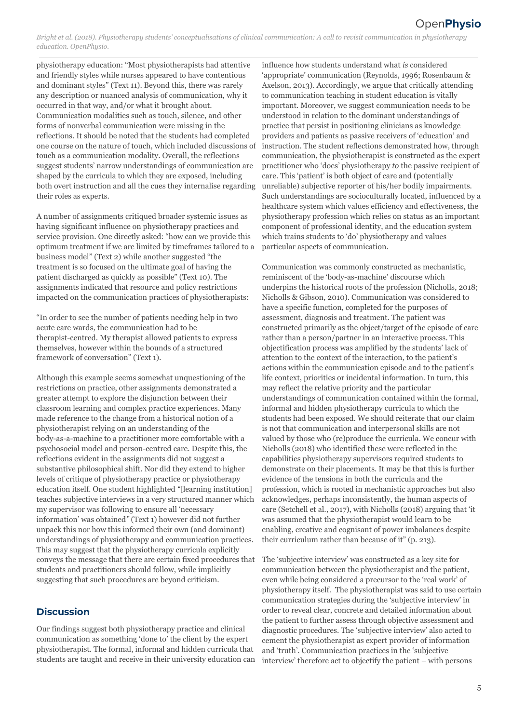physiotherapy education: "Most physiotherapists had attentive and friendly styles while nurses appeared to have contentious and dominant styles" (Text 11). Beyond this, there was rarely any description or nuanced analysis of communication, why it occurred in that way, and/or what it brought about. Communication modalities such as touch, silence, and other forms of nonverbal communication were missing in the reflections. It should be noted that the students had completed one course on the nature of touch, which included discussions of touch as a communication modality. Overall, the reflections suggest students' narrow understandings of communication are shaped by the curricula to which they are exposed, including both overt instruction and all the cues they internalise regarding their roles as experts.

A number of assignments critiqued broader systemic issues as having significant influence on physiotherapy practices and service provision. One directly asked: "how can we provide this optimum treatment if we are limited by timeframes tailored to a business model" (Text 2) while another suggested "the treatment is so focused on the ultimate goal of having the patient discharged as quickly as possible" (Text 10). The assignments indicated that resource and policy restrictions impacted on the communication practices of physiotherapists:

"In order to see the number of patients needing help in two acute care wards, the communication had to be therapist-centred. My therapist allowed patients to express themselves, however within the bounds of a structured framework of conversation" (Text 1)*.*

Although this example seems somewhat unquestioning of the restrictions on practice, other assignments demonstrated a greater attempt to explore the disjunction between their classroom learning and complex practice experiences. Many made reference to the change from a historical notion of a physiotherapist relying on an understanding of the body-as-a-machine to a practitioner more comfortable with a psychosocial model and person-centred care. Despite this, the reflections evident in the assignments did not suggest a substantive philosophical shift. Nor did they extend to higher levels of critique of physiotherapy practice or physiotherapy education itself. One student highlighted *"*[learning institution] teaches subjective interviews in a very structured manner which my supervisor was following to ensure all 'necessary information' was obtained*"* (Text 1) however did not further unpack this nor how this informed their own (and dominant) understandings of physiotherapy and communication practices. This may suggest that the physiotherapy curricula explicitly conveys the message that there are certain fixed procedures that students and practitioners should follow, while implicitly suggesting that such procedures are beyond criticism.

## **Discussion**

Our findings suggest both physiotherapy practice and clinical communication as something 'done to' the client by the expert physiotherapist. The formal, informal and hidden curricula that students are taught and receive in their university education can

influence how students understand what *is* considered 'appropriate' communication (Reynolds, 1996; Rosenbaum & Axelson, 2013). Accordingly, we argue that critically attending to communication teaching in student education is vitally important. Moreover, we suggest communication needs to be understood in relation to the dominant understandings of practice that persist in positioning clinicians as knowledge providers and patients as passive receivers of 'education' and instruction. The student reflections demonstrated how, through communication, the physiotherapist is constructed as the expert practitioner who 'does' physiotherapy *to* the passive recipient of care. This 'patient' is both object of care and (potentially unreliable) subjective reporter of his/her bodily impairments. Such understandings are socioculturally located, influenced by a healthcare system which values efficiency and effectiveness, the physiotherapy profession which relies on status as an important component of professional identity, and the education system which trains students to 'do' physiotherapy and values particular aspects of communication.

Communication was commonly constructed as mechanistic, reminiscent of the 'body-as-machine' discourse which underpins the historical roots of the profession (Nicholls, 2018; Nicholls & Gibson, 2010). Communication was considered to have a specific function, completed for the purposes of assessment, diagnosis and treatment. The patient was constructed primarily as the object/target of the episode of care rather than a person/partner in an interactive process. This objectification process was amplified by the students' lack of attention to the context of the interaction, to the patient's actions within the communication episode and to the patient's life context, priorities or incidental information. In turn, this may reflect the relative priority and the particular understandings of communication contained within the formal, informal and hidden physiotherapy curricula to which the students had been exposed. We should reiterate that our claim is not that communication and interpersonal skills are not valued by those who (re)produce the curricula. We concur with Nicholls (2018) who identified these were reflected in the capabilities physiotherapy supervisors required students to demonstrate on their placements. It may be that this is further evidence of the tensions in both the curricula and the profession, which is rooted in mechanistic approaches but also acknowledges, perhaps inconsistently, the human aspects of care (Setchell et al., 2017), with Nicholls (2018) arguing that 'it was assumed that the physiotherapist would learn to be enabling, creative and cognisant of power imbalances despite their curriculum rather than because of it" (p. 213).

The 'subjective interview' was constructed as a key site for communication between the physiotherapist and the patient, even while being considered a precursor to the 'real work' of physiotherapy itself. The physiotherapist was said to use certain communication strategies during the 'subjective interview' in order to reveal clear, concrete and detailed information about the patient to further assess through objective assessment and diagnostic procedures. The 'subjective interview' also acted to cement the physiotherapist as expert provider of information and 'truth'. Communication practices in the 'subjective interview' therefore act to objectify the patient – with persons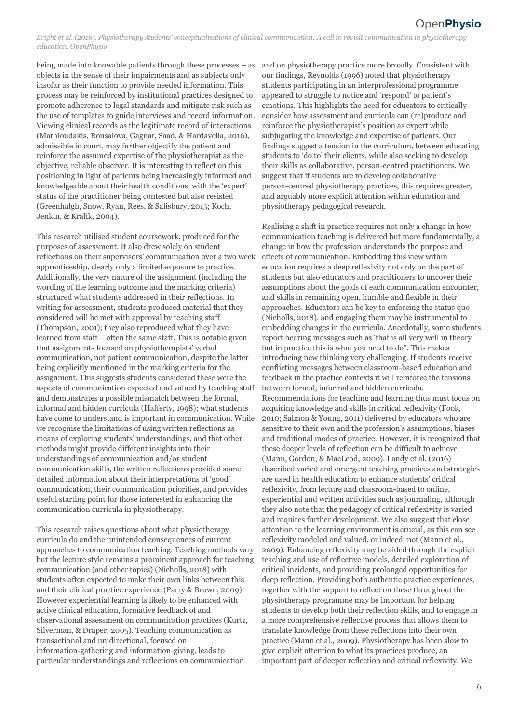being made into knowable patients through these processes – as objects in the sense of their impairments and as subjects only insofar as their function to provide needed information. This process may be reinforced by institutional practices designed to promote adherence to legal standards and mitigate risk such as the use of templates to guide interviews and record information. Viewing clinical records as the legitimate record of interactions (Mathioudakis, Rousalova, Gagnat, Saad, & Hardavella, 2016), admissible in court, may further objectify the patient and reinforce the assumed expertise of the physiotherapist as the objective, reliable observer. It is interesting to reflect on this positioning in light of patients being increasingly informed and knowledgeable about their health conditions, with the 'expert' status of the practitioner being contested but also resisted (Greenhalgh, Snow, Ryan, Rees, & Salisbury, 2015; Koch, Jenkin, & Kralik, 2004).

This research utilised student coursework, produced for the purposes of assessment. It also drew solely on student reflections on their supervisors' communication over a two week apprenticeship, clearly only a limited exposure to practice. Additionally, the very nature of the assignment (including the wording of the learning outcome and the marking criteria) structured what students addressed in their reflections. In writing for assessment, students produced material that they considered will be met with approval by teaching staff (Thompson, 2001); they also reproduced what they have learned from staff – often the same staff. This is notable given that assignments focused on physiotherapists' verbal communication, not patient communication, despite the latter being explicitly mentioned in the marking criteria for the assignment. This suggests students considered these were the aspects of communication expected and valued by teaching staff and demonstrates a possible mismatch between the formal, informal and hidden curricula (Hafferty, 1998); what students have come to understand is important in communication. While we recognise the limitations of using written reflections as means of exploring students' understandings, and that other methods might provide different insights into their understandings of communication and/or student communication skills, the written reflections provided some detailed information about their interpretations of 'good' communication, their communication priorities, and provides useful starting point for those interested in enhancing the communication curricula in physiotherapy.

This research raises questions about what physiotherapy curricula do and the unintended consequences of current approaches to communication teaching. Teaching methods vary but the lecture style remains a prominent approach for teaching communication (and other topics) (Nicholls, 2018) with students often expected to make their own links between this and their clinical practice experience (Parry & Brown, 2009). However experiential learning is likely to be enhanced with active clinical education, formative feedback of and observational assessment on communication practices (Kurtz, Silverman, & Draper, 2005). Teaching communication as transactional and unidirectional, focused on information-gathering and information-giving, leads to particular understandings and reflections on communication

and on physiotherapy practice more broadly. Consistent with our findings, Reynolds (1996) noted that physiotherapy students participating in an interprofessional programme appeared to struggle to notice and 'respond' to patient's emotions. This highlights the need for educators to critically consider how assessment and curricula can (re)produce and reinforce the physiotherapist's position as expert while subjugating the knowledge and expertise of patients. Our findings suggest a tension in the curriculum, between educating students to 'do to' their clients, while also seeking to develop their skills as collaborative, person-centred practitioners. We suggest that if students are to develop collaborative person-centred physiotherapy practices, this requires greater, and arguably more explicit attention within education and physiotherapy pedagogical research.

Realising a shift in practice requires not only a change in how communication teaching is delivered but more fundamentally, a change in how the profession understands the purpose and effects of communication. Embedding this view within education requires a deep reflexivity not only on the part of students but also educators and practitioners to uncover their assumptions about the goals of each communication encounter, and skills in remaining open, humble and flexible in their approaches. Educators can be key to enforcing the status quo (Nicholls, 2018), and engaging them may be instrumental to embedding changes in the curricula. Anecdotally, some students report hearing messages such as 'that is all very well in theory but in practice this is what you need to do". This makes introducing new thinking very challenging. If students receive conflicting messages between classroom-based education and feedback in the practice contexts it will reinforce the tensions between formal, informal and hidden curricula. Recommendations for teaching and learning thus must focus on acquiring knowledge and skills in critical reflexivity (Fook, 2010; Salmon & Young, 2011) delivered by educators who are sensitive to their own and the profession's assumptions, biases and traditional modes of practice. However, it is recognized that these deeper levels of reflection can be difficult to achieve (Mann, Gordon, & MacLeod, 2009). Landy et al. (2016) described varied and emergent teaching practices and strategies are used in health education to enhance students' critical reflexivity, from lecture and classroom-based to online, experiential and written activities such as journaling, although they also note that the pedagogy of critical reflexivity is varied and requires further development. We also suggest that close attention to the learning environment is crucial, as this can see reflexivity modeled and valued, or indeed, not (Mann et al., 2009). Enhancing reflexivity may be aided through the explicit teaching and use of reflective models, detailed exploration of critical incidents, and providing prolonged opportunities for deep reflection. Providing both authentic practice experiences, together with the support to reflect on these throughout the physiotherapy programme may be important for helping students to develop both their reflection skills, and to engage in a more comprehensive reflective process that allows them to translate knowledge from these reflections into their own practice (Mann et al., 2009). Physiotherapy has been slow to give explicit attention to what its practices produce, an important part of deeper reflection and critical reflexivity. We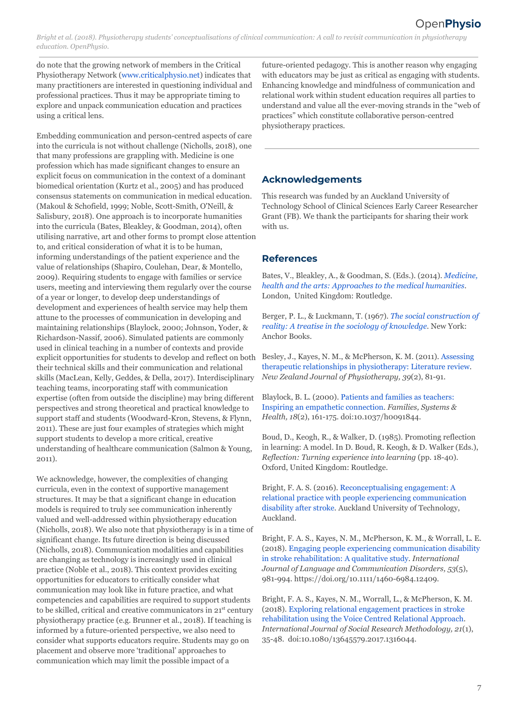do note that the growing network of members in the Critical Physiotherapy Network ([www.criticalphysio.net\)](http://www.criticalphysio.net) indicates that many practitioners are interested in questioning individual and professional practices. Thus it may be appropriate timing to explore and unpack communication education and practices using a critical lens.

Embedding communication and person-centred aspects of care into the curricula is not without challenge (Nicholls, 2018), one that many professions are grappling with. Medicine is one profession which has made significant changes to ensure an explicit focus on communication in the context of a dominant biomedical orientation (Kurtz et al., 2005) and has produced consensus statements on communication in medical education. (Makoul & Schofield, 1999; Noble, Scott-Smith, O'Neill, & Salisbury, 2018). One approach is to incorporate humanities into the curricula (Bates, Bleakley, & Goodman, 2014), often utilising narrative, art and other forms to prompt close attention to, and critical consideration of what it is to be human, informing understandings of the patient experience and the value of relationships (Shapiro, Coulehan, Dear, & Montello, 2009). Requiring students to engage with families or service users, meeting and interviewing them regularly over the course of a year or longer, to develop deep understandings of development and experiences of health service may help them attune to the processes of communication in developing and maintaining relationships (Blaylock, 2000; Johnson, Yoder, & Richardson-Nassif, 2006). Simulated patients are commonly used in clinical teaching in a number of contexts and provide explicit opportunities for students to develop and reflect on both their technical skills and their communication and relational skills (MacLean, Kelly, Geddes, & Della, 2017). Interdisciplinary teaching teams, incorporating staff with communication expertise (often from outside the discipline) may bring different perspectives and strong theoretical and practical knowledge to support staff and students (Woodward-Kron, Stevens, & Flynn, 2011). These are just four examples of strategies which might support students to develop a more critical, creative understanding of healthcare communication (Salmon & Young, 2011).

We acknowledge, however, the complexities of changing curricula, even in the context of supportive management structures. It may be that a significant change in education models is required to truly see communication inherently valued and well-addressed within physiotherapy education (Nicholls, 2018). We also note that physiotherapy is in a time of significant change. Its future direction is being discussed (Nicholls, 2018). Communication modalities and capabilities are changing as technology is increasingly used in clinical practice (Noble et al., 2018). This context provides exciting opportunities for educators to critically consider what communication may look like in future practice, and what competencies and capabilities are required to support students to be skilled, critical and creative communicators in 21<sup>st</sup> century physiotherapy practice (e.g. Brunner et al., 2018). If teaching is informed by a future-oriented perspective, we also need to consider what supports educators require. Students may go on placement and observe more 'traditional' approaches to communication which may limit the possible impact of a

future-oriented pedagogy. This is another reason why engaging with educators may be just as critical as engaging with students. Enhancing knowledge and mindfulness of communication and relational work within student education requires all parties to understand and value all the ever-moving strands in the "web of practices" which constitute collaborative person-centred physiotherapy practices.

## **Acknowledgements**

This research was funded by an Auckland University of Technology School of Clinical Sciences Early Career Researcher Grant (FB). We thank the participants for sharing their work with us.

## **References**

Bates, V., Bleakley, A., & Goodman, S. (Eds.). (2014). *[Medicine,](https://www.routledge.com/Medicine-Health-and-the-Arts-Approaches-to-the-Medical-Humanities/Bates-Bleakley-Goodman/p/book/9780415644310) [health and the arts: Approaches to the medical humanities](https://www.routledge.com/Medicine-Health-and-the-Arts-Approaches-to-the-Medical-Humanities/Bates-Bleakley-Goodman/p/book/9780415644310)*. London, United Kingdom: Routledge.

Berger, P. L., & Luckmann, T. (1967). *[The social construction](http://perflensburg.se/Berger%20social-construction-of-reality.pdf) of [reality: A treatise in the sociology of knowledge](http://perflensburg.se/Berger%20social-construction-of-reality.pdf)*. New York: Anchor Books.

Besley, J., Kayes, N. M., & McPherson, K. M. (2011). [Assessing](http://www.biomedsearch.com/article/Assessing-therapeutic-relationships-in-physiotherapy/288537990.html) [therapeutic relationships in physiotherapy: Literature](http://www.biomedsearch.com/article/Assessing-therapeutic-relationships-in-physiotherapy/288537990.html) review. *New Zealand Journal of Physiotherapy, 39*(2), 81-91.

Blaylock, B. L. (2000). [Patients and families as teachers:](http://psycnet.apa.org/journals/fsh/18/2/161.html) [Inspiring an empathetic connection.](http://psycnet.apa.org/journals/fsh/18/2/161.html) *Families, Systems & Health, 18*(2), 161-175. doi:10.1037/h0091844.

Boud, D., Keogh, R., & Walker, D. (1985). Promoting reflection in learning: A model. In D. Boud, R. Keogh, & D. Walker (Eds.), *Reflection: Turning experience into learning* (pp. 18-40). Oxford, United Kingdom: Routledge.

Bright, F. A. S. (2016). [Reconceptualising engagement:](http://aut.researchgateway.ac.nz/bitstream/handle/10292/9754/BrightFAS.pdf?sequence=3) A [relational practice with people experiencing communication](http://aut.researchgateway.ac.nz/bitstream/handle/10292/9754/BrightFAS.pdf?sequence=3) [disability after stroke](http://aut.researchgateway.ac.nz/bitstream/handle/10292/9754/BrightFAS.pdf?sequence=3)*.* Auckland University of Technology, Auckland.

Bright, F. A. S., Kayes, N. M., McPherson, K. M., & Worrall, L. E. (2018). [Engaging people experiencing communication](https://doi.org/10.1111/1460-6984.12409) disability [in stroke rehabilitation: A qualitative study.](https://doi.org/10.1111/1460-6984.12409) *International Journal of Language and Communication Disorders, 53*(5), 981-994. https://doi.org/10.1111/1460-6984.12409.

Bright, F. A. S., Kayes, N. M., Worrall, L., & McPherson, K. M. (2018). [Exploring relational engagement practices](https://aut.researchgateway.ac.nz/bitstream/handle/10292/10695/16-90%20Exploring%20relational%20engagement%20practices%20in%20stroke%20rehabilitation%20using%20the%20VCRA.pdf?sequence=5&isAllowed=y) in stroke [rehabilitation using the Voice Centred Relational](https://aut.researchgateway.ac.nz/bitstream/handle/10292/10695/16-90%20Exploring%20relational%20engagement%20practices%20in%20stroke%20rehabilitation%20using%20the%20VCRA.pdf?sequence=5&isAllowed=y) Approach. *International Journal of Social Research Methodology, 21*(1), 35-48. doi:10.1080/13645579.2017.1316044.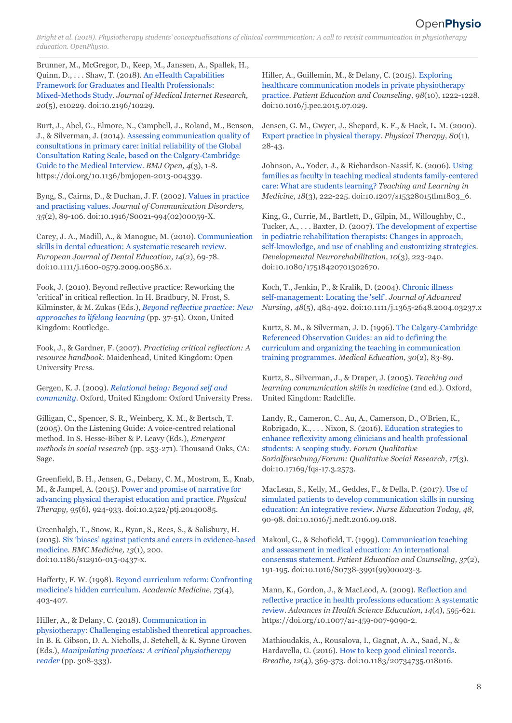Brunner, M., McGregor, D., Keep, M., Janssen, A., Spallek, H., Quinn, D., . . . Shaw, T. (2018). [An eHealth Capabilities](https://www.ncbi.nlm.nih.gov/pubmed/29764794) [Framework for Graduates and Health Professionals:](https://www.ncbi.nlm.nih.gov/pubmed/29764794) [Mixed-Methods Study.](https://www.ncbi.nlm.nih.gov/pubmed/29764794) *Journal of Medical Internet Research, 20*(5), e10229. doi:10.2196/10229.

Burt, J., Abel, G., Elmore, N., Campbell, J., Roland, M., Benson, J., & Silverman, J. (2014). [Assessing communication](https://doi.org/10.1136/bmjopen-2013-004339) quality of [consultations in primary care: initial reliability](https://doi.org/10.1136/bmjopen-2013-004339) of the Global [Consultation Rating Scale, based on the Calgary-Cambridge](https://doi.org/10.1136/bmjopen-2013-004339) [Guide to the Medical Interview](https://doi.org/10.1136/bmjopen-2013-004339). *BMJ Open, 4*(3), 1-8. https://doi.org/10.1136/bmjopen-2013-004339.

Byng, S., Cairns, D., & Duchan, J. F. (2002). Values [in practice](https://www.ncbi.nlm.nih.gov/pubmed/12036152) [and practising values](https://www.ncbi.nlm.nih.gov/pubmed/12036152). *Journal of Communication Disorders, 35*(2), 89-106. doi:10.1916/S0021-994(02)00059-X.

Carey, J. A., Madill, A., & Manogue, M. (2010). [Communication](https://www.ncbi.nlm.nih.gov/pubmed/20522105) [skills in dental education: A systematic research](https://www.ncbi.nlm.nih.gov/pubmed/20522105) review. *European Journal of Dental Education, 14*(2), 69-78. doi:10.1111/j.1600-0579.2009.00586.x.

Fook, J. (2010). Beyond reflective practice: Reworking the 'critical' in critical reflection. In H. Bradbury, N. Frost, S. Kilminster, & M. Zukas (Eds.), *[Beyond reflective practice:](https://onlinelibrary.wiley.com/doi/abs/10.1111/j.1467-9647.2011.00753.x) New [approaches to lifelong learning](https://onlinelibrary.wiley.com/doi/abs/10.1111/j.1467-9647.2011.00753.x)* (pp. 37-51). Oxon, United Kingdom: Routledge.

Fook, J., & Gardner, F. (2007). *Practicing critical reflection: A resource handbook*. Maidenhead, United Kingdom: Open University Press.

Gergen, K. J. (2009). *[Relational being: Beyond self](https://global.oup.com/academic/product/relational-being-9780195305388) and [community](https://global.oup.com/academic/product/relational-being-9780195305388)*. Oxford, United Kingdom: Oxford University Press.

Gilligan, C., Spencer, S. R., Weinberg, K. M., & Bertsch, T. (2005). On the Listening Guide: A voice-centred relational method. In S. Hesse-Biber & P. Leavy (Eds.), *Emergent methods in social research* (pp. 253-271). Thousand Oaks, CA: Sage.

Greenfield, B. H., Jensen, G., Delany, C. M., Mostrom, E., Knab, M., & Jampel, A. (2015). P[ower and promise of narrative](https://doi.org/10.2522/ptj.20140085) for [advancing physical therapist education and practice](https://doi.org/10.2522/ptj.20140085). *Physical Therapy, 95*(6), 924-933. doi:10.2522/ptj.20140085.

Greenhalgh, T., Snow, R., Ryan, S., Rees, S., & Salisbury, H. (2015). [Six 'biases' against patients and carers in](https://doi.org/10.1186/s12916-015-0437-x) evidence-based Makoul, G., & Schofield, T. (1999). [Communication](https://doi.org/10.1016/S0738-3991(99)00023-3) teaching [medicine.](https://doi.org/10.1186/s12916-015-0437-x) *BMC Medicine, 13*(1), 200. doi:10.1186/s12916-015-0437-x.

Hafferty, F. W. (1998). [Beyond curriculum reform:](https://www.ncbi.nlm.nih.gov/pubmed/9580717) Confronting [medicine's hidden curriculum](https://www.ncbi.nlm.nih.gov/pubmed/9580717). *Academic Medicine, 73*(4), 403-407.

Hiller, A., & Delany, C. (2018). [Communication in](https://press.nordicopenaccess.no/index.php/noasp/catalog/view/29/123/979-3) [physiotherapy: Challenging established theoretical](https://press.nordicopenaccess.no/index.php/noasp/catalog/view/29/123/979-3) approaches. In B. E. Gibson, D. A. Nicholls, J. Setchell, & K. Synne Groven (Eds.), *[Manipulating practices: A critical physiotherapy](https://press.nordicopenaccess.no/index.php/noasp/catalog/book/29) [reader](https://press.nordicopenaccess.no/index.php/noasp/catalog/book/29)* (pp. 308-333).

Hiller, A., Guillemin, M., & Delany, C. (2015). [Exploring](https://doi.org/10.1016/j.pec.2015.07.029) [healthcare communication models in private physiotherapy](https://doi.org/10.1016/j.pec.2015.07.029) [practice.](https://doi.org/10.1016/j.pec.2015.07.029) *Patient Education and Counseling, 98*(10), 1222-1228. doi:10.1016/j.pec.2015.07.029.

Jensen, G. M., Gwyer, J., Shepard, K. F., & Hack, L. M. (2000). [Expert practice in physical therapy](https://www.ncbi.nlm.nih.gov/pubmed/10623958). *Physical Therapy, 80*(1), 28-43.

Johnson, A., Yoder, J., & Richardson-Nassif, K. (2006). [Using](https://doi.org/10.1207/s15328015tlm1803_6) [families as faculty in teaching medical students family-centered](https://doi.org/10.1207/s15328015tlm1803_6) [care: What are students learning?](https://doi.org/10.1207/s15328015tlm1803_6) *Teaching and Learning in Medicine, 18*(3), 222-225. doi:10.1207/s15328015tlm1803\_6.

King, G., Currie, M., Bartlett, D., Gilpin, M., Willoughby, C., Tucker, A., . . . Baxter, D. (2007). [The development](https://doi.org/10.1080/17518420701302670) of expertise [in pediatric rehabilitation therapists: Changes in](https://doi.org/10.1080/17518420701302670) approach, [self-knowledge, and use of enabling and customizing](https://doi.org/10.1080/17518420701302670) strategies. *Developmental Neurorehabilitation, 10*(3), 223-240. doi:10.1080/17518420701302670.

Koch, T., Jenkin, P., & Kralik, D. (2004). [Chronic](https://doi.org/10.1111/j.1365-2648.2004.03237.x) illness [self-management: Locating the 'self'](https://doi.org/10.1111/j.1365-2648.2004.03237.x). *Journal of Advanced Nursing, 48*(5), 484-492. doi:10.1111/j.1365-2648.2004.03237.x

Kurtz, S. M., & Silverman, J. D. (1996). [The Calgary-Cambridge](https://www.ncbi.nlm.nih.gov/pubmed/8736242) [Referenced Observation Guides: an aid to defining](https://www.ncbi.nlm.nih.gov/pubmed/8736242) the [curriculum and organizing the teaching in communication](https://www.ncbi.nlm.nih.gov/pubmed/8736242) [training programmes.](https://www.ncbi.nlm.nih.gov/pubmed/8736242) *Medical Education, 30*(2), 83-89.

Kurtz, S., Silverman, J., & Draper, J. (2005). *Teaching and learning communication skills in medicine* (2nd ed.). Oxford, United Kingdom: Radcliffe.

Landy, R., Cameron, C., Au, A., Camerson, D., O'Brien, K., Robrigado, K., . . . Nixon, S. (2016). [Education strategies](https://doi.org/10.17169/fqs-17.3.2573) to [enhance reflexivity among clinicians and health professional](https://doi.org/10.17169/fqs-17.3.2573) [students: A scoping study.](https://doi.org/10.17169/fqs-17.3.2573) *Forum Qualitative Sozialforschung/Forum: Qualitative Social Research, 17*(3). doi:10.17169/fqs-17.3.2573.

MacLean, S., Kelly, M., Geddes, F., & Della, P. (2017). [Use of](https://doi.org/10.1016/j.nedt.2016.09.018) [simulated patients to develop communication skills](https://doi.org/10.1016/j.nedt.2016.09.018) in nursing [education: An integrative review.](https://doi.org/10.1016/j.nedt.2016.09.018) *Nurse Education Today, 48*, 90-98. doi:10.1016/j.nedt.2016.09.018.

[and assessment in medical education: An international](https://doi.org/10.1016/S0738-3991(99)00023-3) [consensus statement.](https://doi.org/10.1016/S0738-3991(99)00023-3) *Patient Education and Counseling, 37*(2), 191-195. doi:10.1016/S0738-3991(99)00023-3.

Mann, K., Gordon, J., & MacLeod, A. (2009). [Reflection](https://doi.org/10.1007/a1-459-007-9090-2) and [reflective practice in health professions education:](https://doi.org/10.1007/a1-459-007-9090-2) A systematic [review](https://doi.org/10.1007/a1-459-007-9090-2). *Advances in Health Science Education, 14*(4), 595-621. https://doi.org/10.1007/a1-459-007-9090-2.

Mathioudakis, A., Rousalova, I., Gagnat, A. A., Saad, N., & Hardavella, G. (2016). [How to keep good clinical records](https://doi.org/10.1183/20734735.018016). *Breathe, 12*(4), 369-373. doi:10.1183/20734735.018016.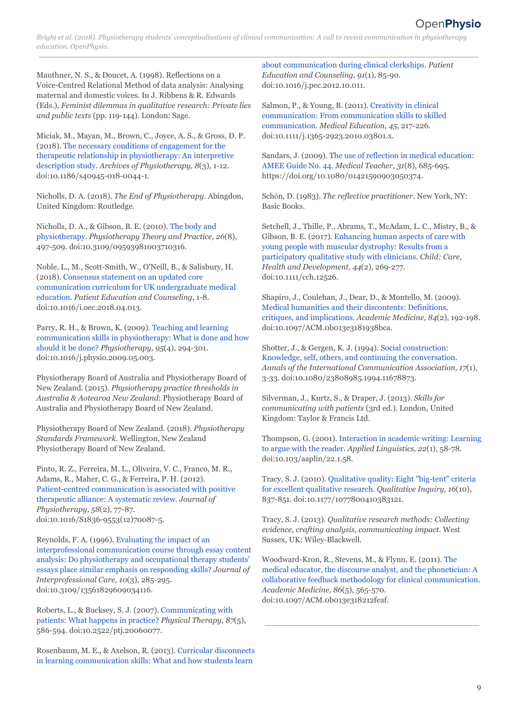Mauthner, N. S., & Doucet, A. (1998). Reflections on a Voice-Centred Relational Method of data analysis: Analysing maternal and domestic voices. In J. Ribbens & R. Edwards (Eds.), *Feminist dilemmas in qualitative research: Private lies and public texts* (pp. 119-144). London: Sage.

Miciak, M., Mayan, M., Brown, C., Joyce, A. S., & Gross, D. P. (2018). [The necessary conditions of engagement for](https://doi.org/10.1186/s40945-018-0044-1) the [therapeutic relationship in physiotherapy: An interpretive](https://doi.org/10.1186/s40945-018-0044-1) [description study](https://doi.org/10.1186/s40945-018-0044-1). *Archives of Physiotherapy, 8*(3), 1-12. doi:10.1186/s40945-018-0044-1.

Nicholls, D. A. (2018). *The End of Physiotherapy*. Abingdon, United Kingdom: Routledge.

Nicholls, D. A., & Gibson, B. E. (2010). [The body](https://doi.org/10.3109/09593981003710316) and [physiotherapy](https://doi.org/10.3109/09593981003710316). *Physiotherapy Theory and Practice, 26*(8), 497-509. doi:10.3109/09593981003710316.

Noble, L., M., Scott-Smith, W., O'Neill, B., & Salisbury, H. (2018). [Consensus statement on an updated core](https://doi.org/10.1016/i.oec.2018.04.013) [communication curriculum for UK undergraduate medical](https://doi.org/10.1016/i.oec.2018.04.013) [education.](https://doi.org/10.1016/i.oec.2018.04.013) *Patient Education and Counseling*, 1-8. doi:10.1016/i.oec.2018.04.013.

Parry, R. H., & Brown, K. (2009). [Teaching and learning](https://doi.org/10.1016/j.physio.2009.05.003) [communication skills in physiotherapy: What is done](https://doi.org/10.1016/j.physio.2009.05.003) and how [should it be done?](https://doi.org/10.1016/j.physio.2009.05.003) *Physiotherapy, 95*(4), 294-301. doi:10.1016/j.physio.2009.05.003.

Physiotherapy Board of Australia and Physiotherapy Board of New Zealand. (2015). *Physiotherapy practice thresholds in Australia & Aotearoa New Zealand*: Physiotherapy Board of Australia and Physiotherapy Board of New Zealand.

Physiotherapy Board of New Zealand. (2018). *Physiotherapy Standards Framework*. Wellington, New Zealand Physiotherapy Board of New Zealand.

Pinto, R. Z., Ferreira, M. L., Oliveira, V. C., Franco, M. R., Adams, R., Maher, C. G., & Ferreira, P. H. (2012). [Patient-centred communication is associated with positive](https://doi.org/10.1016/S1836-9553(12)70087-5) [therapeutic alliance: A systematic review](https://doi.org/10.1016/S1836-9553(12)70087-5). *Journal of Physiotherapy, 58*(2), 77-87. doi:10.1016/S1836-9553(12)70087-5.

Reynolds, F. A. (1996). [Evaluating the impact of an](https://doi.org/10.3109/13561829609034116) [interprofessional communication course through essay](https://doi.org/10.3109/13561829609034116) content [analysis: Do physiotherapy and occupational therapy](https://doi.org/10.3109/13561829609034116) students' [essays place similar emphasis on responding skills?](https://doi.org/10.3109/13561829609034116) *Journal of Interprofessional Care, 10*(3), 285-295. doi:10.3109/13561829609034116.

Roberts, L., & Bucksey, S. J. (2007). [Communicating](https://doi.org/10.2522/ptj.20060077) with [patients: What happens in practice?](https://doi.org/10.2522/ptj.20060077) *Physical Therapy, 87*(5), 586-594. doi:10.2522/ptj.20060077.

Rosenbaum, M. E., & Axelson, R. (2013). Curricular [disconnects](https://doi.org/10.1016/j.pec.2012.10.011) [in learning communication skills: What and how students](https://doi.org/10.1016/j.pec.2012.10.011) learn

[about communication during clinical clerkships](https://doi.org/10.1016/j.pec.2012.10.011). *Patient Education and Counseling, 91*(1), 85-90. doi:10.1016/j.pec.2012.10.011.

Salmon, P., & Young, B. (2011). [Creativity in clinical](https://doi.org/10.1111/j.1365-2923.2010.03801.x) [communication: From communication skills to skilled](https://doi.org/10.1111/j.1365-2923.2010.03801.x) [communication](https://doi.org/10.1111/j.1365-2923.2010.03801.x). *Medical Education, 45*, 217-226. doi:10.1111/j.1365-2923.2010.03801.x.

Sandars, J. (2009). [The use of reflection in medical](https://doi.org/10.1080/01421590903050374) education: [AMEE Guide No. 44.](https://doi.org/10.1080/01421590903050374) *Medical Teacher, 31*(8), 685-695. https://doi.org/10.1080/01421590903050374.

Schӧn, D. (1983). *The reflective practitioner*. New York, NY: Basic Books.

Setchell, J., Thille, P., Abrams, T., McAdam, L. C., Mistry, B., & Gibson, B. E. (2017). [Enhancing human aspects of care](https://doi.org/10.1111/cch.12526) with [young people with muscular dystrophy: Results from](https://doi.org/10.1111/cch.12526) a [participatory qualitative study with clinicians.](https://doi.org/10.1111/cch.12526) *Child: Care, Health and Development, 44*(2), 269-277. doi:10.1111/cch.12526.

Shapiro, J., Coulehan, J., Dear, D., & Montello, M. (2009). [Medical humanities and their discontents: Definitions,](https://doi.org/10.1097/ACM.0b013e3181938bca) [critiques, and implications.](https://doi.org/10.1097/ACM.0b013e3181938bca) *Academic Medicine, 84*(2), 192-198. doi:10.1097/ACM.0b013e3181938bca.

Shotter, J., & Gergen, K. J. (1994). [Social construction:](https://doi.org/10.1080/23808985.1994.11678873) [Knowledge, self, others, and continuing the conversation](https://doi.org/10.1080/23808985.1994.11678873). *Annals of the International Communication Association, 17*(1), 3-33. doi:10.1080/23808985.1994.11678873.

Silverman, J., Kurtz, S., & Draper, J. (2013). *Skills for communicating with patients* (3rd ed.). London, United Kingdom: Taylor & Francis Ltd.

Thompson, G. (2001). [Interaction in academic writing:](https://doi.org/10.103/aaplin/22.1.58) Learning [to argue with the reader](https://doi.org/10.103/aaplin/22.1.58). *Applied Linguistics, 22*(1), 58-78. doi:10.103/aaplin/22.1.58.

Tracy, S. J. (2010). [Qualitative quality: Eight "big-tent"](https://doi.org/10.1177/1077800410383121) criteria [for excellent qualitative research](https://doi.org/10.1177/1077800410383121). *Qualitative Inquiry, 16*(10), 837-851. doi:10.1177/1077800410383121.

Tracy, S. J. (2013). *Qualitative research methods: Collecting evidence, crafting analysis, communicating impact*. West Sussex, UK: Wiley-Blackwell.

Woodward-Kron, R., Stevens, M., & Flynn, E. (2011). [The](https://doi.org/10.1097/ACM.0b013e318212feaf) [medical educator, the discourse analyst, and the phonetician:](https://doi.org/10.1097/ACM.0b013e318212feaf) A [collaborative feedback methodology for clinical communication.](https://doi.org/10.1097/ACM.0b013e318212feaf) *Academic Medicine, 86*(5), 565-570. doi:10.1097/ACM.0b013e318212feaf.